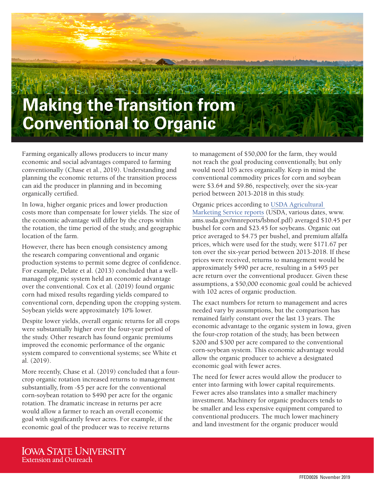

Farming organically allows producers to incur many economic and social advantages compared to farming conventionally (Chase et al., 2019). Understanding and planning the economic returns of the transition process can aid the producer in planning and in becoming organically certified.

In Iowa, higher organic prices and lower production costs more than compensate for lower yields. The size of the economic advantage will differ by the crops within the rotation, the time period of the study, and geographic location of the farm.

However, there has been enough consistency among the research comparing conventional and organic production systems to permit some degree of confidence. For example, Delate et al. (2013) concluded that a wellmanaged organic system held an economic advantage over the conventional. Cox et al. (2019) found organic corn had mixed results regarding yields compared to conventional corn, depending upon the cropping system. Soybean yields were approximately 10% lower.

Despite lower yields, overall organic returns for all crops were substantially higher over the four-year period of the study. Other research has found organic premiums improved the economic performance of the organic system compared to conventional systems; see White et al. (2019).

More recently, Chase et al. (2019) concluded that a fourcrop organic rotation increased returns to management substantially, from -\$5 per acre for the conventional corn-soybean rotation to \$490 per acre for the organic rotation. The dramatic increase in returns per acre would allow a farmer to reach an overall economic goal with significantly fewer acres. For example, if the economic goal of the producer was to receive returns

to management of \$50,000 for the farm, they would not reach the goal producing conventionally, but only would need 105 acres organically. Keep in mind the conventional commodity prices for corn and soybean were \$3.64 and \$9.86, respectively, over the six-year period between 2013-2018 in this study.

Organic prices according to USDA Agricultural Marketing Service reports (USDA, various dates, www. ams.usda.gov/mnreports/lsbnof.pdf) averaged \$10.45 per bushel for corn and \$23.45 for soybeans. Organic oat price averaged to \$4.75 per bushel, and premium alfalfa prices, which were used for the study, were \$171.67 per ton over the six-year period between 2013-2018. If these prices were received, returns to management would be approximately \$490 per acre, resulting in a \$495 per acre return over the conventional producer. Given these assumptions, a \$50,000 economic goal could be achieved with 102 acres of organic production.

The exact numbers for return to management and acres needed vary by assumptions, but the comparison has remained fairly constant over the last 13 years. The economic advantage to the organic system in Iowa, given the four-crop rotation of the study, has been between \$200 and \$300 per acre compared to the conventional corn-soybean system. This economic advantage would allow the organic producer to achieve a designated economic goal with fewer acres.

The need for fewer acres would allow the producer to enter into farming with lower capital requirements. Fewer acres also translates into a smaller machinery investment. Machinery for organic producers tends to be smaller and less expensive equipment compared to conventional producers. The much lower machinery and land investment for the organic producer would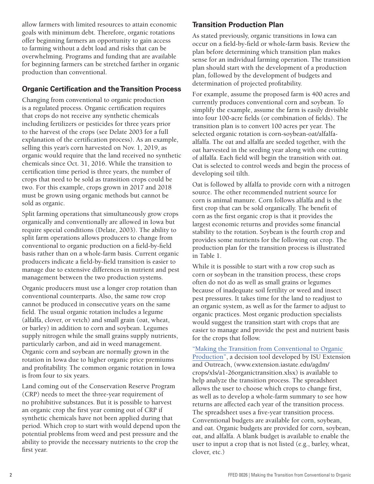allow farmers with limited resources to attain economic goals with minimum debt. Therefore, organic rotations offer beginning farmers an opportunity to gain access to farming without a debt load and risks that can be overwhelming. Programs and funding that are available for beginning farmers can be stretched farther in organic production than conventional.

## **Organic Certification and the Transition Process**

Changing from conventional to organic production is a regulated process. Organic certification requires that crops do not receive any synthetic chemicals including fertilizers or pesticides for three years prior to the harvest of the crops (see Delate 2003 for a full explanation of the certification process). As an example, selling this year's corn harvested on Nov. 1, 2019, as organic would require that the land received no synthetic chemicals since Oct. 31, 2016. While the transition to certification time period is three years, the number of crops that need to be sold as transition crops could be two. For this example, crops grown in 2017 and 2018 must be grown using organic methods but cannot be sold as organic.

Split farming operations that simultaneously grow crops organically and conventionally are allowed in Iowa but require special conditions (Delate, 2003). The ability to split farm operations allows producers to change from conventional to organic production on a field-by-field basis rather than on a whole-farm basis. Current organic producers indicate a field-by-field transition is easier to manage due to extensive differences in nutrient and pest management between the two production systems.

Organic producers must use a longer crop rotation than conventional counterparts. Also, the same row crop cannot be produced in consecutive years on the same field. The usual organic rotation includes a legume (alfalfa, clover, or vetch) and small grain (oat, wheat, or barley) in addition to corn and soybean. Legumes supply nitrogen while the small grains supply nutrients, particularly carbon, and aid in weed management. Organic corn and soybean are normally grown in the rotation in Iowa due to higher organic price premiums and profitability. The common organic rotation in Iowa is from four to six years.

Land coming out of the Conservation Reserve Program (CRP) needs to meet the three-year requirement of no prohibitive substances. But it is possible to harvest an organic crop the first year coming out of CRP if synthetic chemicals have not been applied during that period. Which crop to start with would depend upon the potential problems from weed and pest pressure and the ability to provide the necessary nutrients to the crop the first year.

# **Transition Production Plan**

As stated previously, organic transitions in Iowa can occur on a field-by-field or whole-farm basis. Review the plan before determining which transition plan makes sense for an individual farming operation. The transition plan should start with the development of a production plan, followed by the development of budgets and determination of projected profitability.

For example, assume the proposed farm is 400 acres and currently produces conventional corn and soybean. To simplify the example, assume the farm is easily divisible into four 100-acre fields (or combination of fields). The transition plan is to convert 100 acres per year. The selected organic rotation is corn-soybean-oat/alfalfaalfalfa. The oat and alfalfa are seeded together, with the oat harvested in the seeding year along with one cutting of alfalfa. Each field will begin the transition with oat. Oat is selected to control weeds and begin the process of developing soil tilth.

Oat is followed by alfalfa to provide corn with a nitrogen source. The other recommended nutrient source for corn is animal manure. Corn follows alfalfa and is the first crop that can be sold organically. The benefit of corn as the first organic crop is that it provides the largest economic returns and provides some financial stability to the rotation. Soybean is the fourth crop and provides some nutrients for the following oat crop. The production plan for the transition process is illustrated in Table 1.

While it is possible to start with a row crop such as corn or soybean in the transition process, these crops often do not do as well as small grains or legumes because of inadequate soil fertility or weed and insect pest pressures. It takes time for the land to readjust to an organic system, as well as for the farmer to adjust to organic practices. Most organic production specialists would suggest the transition start with crops that are easier to manage and provide the pest and nutrient basis for the crops that follow.

"Making the Transition from Conventional to Organic Production", a decision tool developed by ISU Extension and Outreach, (www.extension.iastate.edu/agdm/ crops/xls/a1-26organictransition.xlsx) is available to help analyze the transition process. The spreadsheet allows the user to choose which crops to change first, as well as to develop a whole-farm summary to see how returns are affected each year of the transition process. The spreadsheet uses a five-year transition process. Conventional budgets are available for corn, soybean, and oat. Organic budgets are provided for corn, soybean, oat, and alfalfa. A blank budget is available to enable the user to input a crop that is not listed (e.g., barley, wheat, clover, etc.)